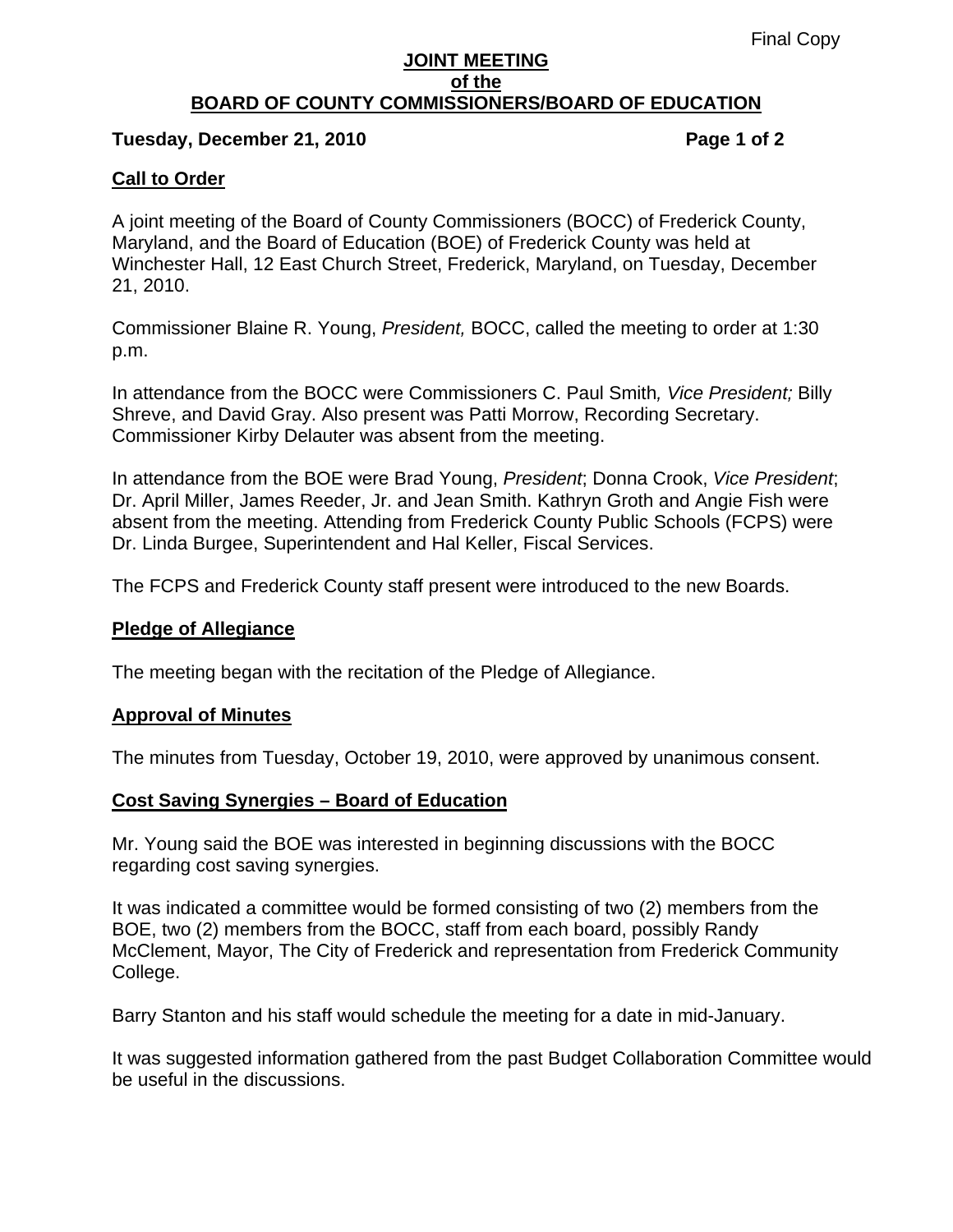## **JOINT MEETING of the BOARD OF COUNTY COMMISSIONERS/BOARD OF EDUCATION**

## Tuesday, December 21, 2010 **Page 1 of 2 Page 1 of 2**

# **Call to Order**

A joint meeting of the Board of County Commissioners (BOCC) of Frederick County, Maryland, and the Board of Education (BOE) of Frederick County was held at Winchester Hall, 12 East Church Street, Frederick, Maryland, on Tuesday, December 21, 2010.

Commissioner Blaine R. Young, *President,* BOCC, called the meeting to order at 1:30 p.m.

In attendance from the BOCC were Commissioners C. Paul Smith*, Vice President;* Billy Shreve, and David Gray. Also present was Patti Morrow, Recording Secretary. Commissioner Kirby Delauter was absent from the meeting.

In attendance from the BOE were Brad Young, *President*; Donna Crook, *Vice President*; Dr. April Miller, James Reeder, Jr. and Jean Smith. Kathryn Groth and Angie Fish were absent from the meeting. Attending from Frederick County Public Schools (FCPS) were Dr. Linda Burgee, Superintendent and Hal Keller, Fiscal Services.

The FCPS and Frederick County staff present were introduced to the new Boards.

## **Pledge of Allegiance**

The meeting began with the recitation of the Pledge of Allegiance.

## **Approval of Minutes**

The minutes from Tuesday, October 19, 2010, were approved by unanimous consent.

## **Cost Saving Synergies – Board of Education**

Mr. Young said the BOE was interested in beginning discussions with the BOCC regarding cost saving synergies.

It was indicated a committee would be formed consisting of two (2) members from the BOE, two (2) members from the BOCC, staff from each board, possibly Randy McClement, Mayor, The City of Frederick and representation from Frederick Community College.

Barry Stanton and his staff would schedule the meeting for a date in mid-January.

It was suggested information gathered from the past Budget Collaboration Committee would be useful in the discussions.